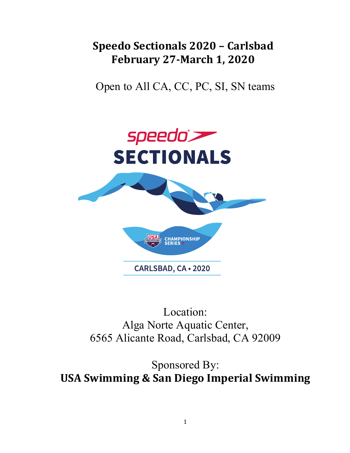# **Speedo Sectionals 2020 – Carlsbad February 27-March 1, 2020**

Open to All CA, CC, PC, SI, SN teams



Location: Alga Norte Aquatic Center, 6565 Alicante Road, Carlsbad, CA 92009

Sponsored By: **USA Swimming & San Diego Imperial Swimming**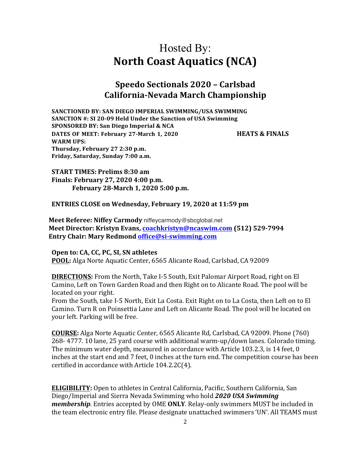# Hosted By: **North Coast Aquatics (NCA)**

## **Speedo Sectionals 2020 – Carlsbad California-Nevada March Championship**

SANCTIONED BY: SAN DIEGO IMPERIAL SWIMMING/USA SWIMMING **SANCTION #: SI 20-09 Held Under the Sanction of USA Swimming SPONSORED BY: San Diego Imperial & NCA DATES OF MEET: February 27-March 1, 2020 HEATS & FINALS WARM UPS: Thursday, February 27 2:30 p.m. Friday, Saturday, Sunday 7:00 a.m.**

**START TIMES: Prelims 8:30 am Finals: February 27, 2020 4:00 p.m. February 28-March 1, 2020 5:00 p.m.**

**ENTRIES CLOSE on Wednesday, February 19, 2020 at 11:59 pm** 

**Meet Referee: Niffey Carmody** niffeycarmody@sbcglobal.net **Meet Director: Kristyn Evans, coachkristyn@ncaswim.com (512) 529-7994 Entry Chair: Mary Redmond office@si-swimming.com** 

#### **Open to: CA, CC, PC, SI, SN athletes**

**POOL:** Alga Norte Aquatic Center, 6565 Alicante Road, Carlsbad, CA 92009

**DIRECTIONS:** From the North, Take I-5 South, Exit Palomar Airport Road, right on El Camino, Left on Town Garden Road and then Right on to Alicante Road. The pool will be located on your right.

From the South, take I-5 North, Exit La Costa. Exit Right on to La Costa, then Left on to El Camino. Turn R on Poinsettia Lane and Left on Alicante Road. The pool will be located on your left. Parking will be free.

**COURSE:** Alga Norte Aquatic Center, 6565 Alicante Rd, Carlsbad, CA 92009. Phone (760) 268- 4777. 10 lane, 25 yard course with additional warm-up/down lanes. Colorado timing. The minimum water depth, measured in accordance with Article 103.2.3, is 14 feet, 0 inches at the start end and 7 feet, 0 inches at the turn end. The competition course has been certified in accordance with Article  $104.2.2C(4)$ .

**ELIGIBILITY:** Open to athletes in Central California, Pacific, Southern California, San Diego/Imperial and Sierra Nevada Swimming who hold 2020 USA Swimming *membership*. Entries accepted by OME ONLY. Relay-only swimmers MUST be included in the team electronic entry file. Please designate unattached swimmers 'UN'. All TEAMS must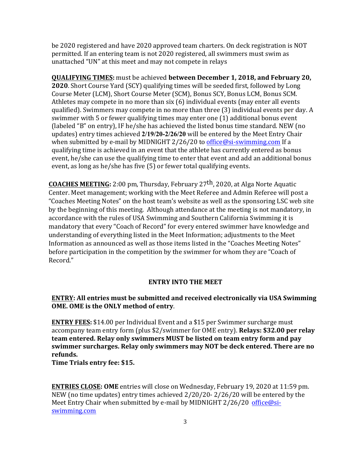be 2020 registered and have 2020 approved team charters. On deck registration is NOT permitted. If an entering team is not 2020 registered, all swimmers must swim as unattached "UN" at this meet and may not compete in relays

**QUALIFYING TIMES:** must be achieved **between December 1, 2018, and February 20, 2020**. Short Course Yard (SCY) qualifying times will be seeded first, followed by Long Course Meter (LCM), Short Course Meter (SCM), Bonus SCY, Bonus LCM, Bonus SCM. Athletes may compete in no more than  $six(6)$  individual events (may enter all events qualified). Swimmers may compete in no more than three (3) individual events per day. A swimmer with 5 or fewer qualifying times may enter one (1) additional bonus event (labeled "B" on entry), IF he/she has achieved the listed bonus time standard. NEW (no updates) entry times achieved 2/19/20-2/26/20 will be entered by the Meet Entry Chair when submitted by e-mail by MIDNIGHT 2/26/20 to office@si-swimming.com If a qualifying time is achieved in an event that the athlete has currently entered as bonus event, he/she can use the qualifying time to enter that event and add an additional bonus event, as long as he/she has five  $(5)$  or fewer total qualifying events.

**COACHES MEETING:** 2:00 pm, Thursday, February 27<sup>th</sup>, 2020, at Alga Norte Aquatic Center. Meet management; working with the Meet Referee and Admin Referee will post a "Coaches Meeting Notes" on the host team's website as well as the sponsoring LSC web site by the beginning of this meeting. Although attendance at the meeting is not mandatory, in accordance with the rules of USA Swimming and Southern California Swimming it is mandatory that every "Coach of Record" for every entered swimmer have knowledge and understanding of everything listed in the Meet Information; adjustments to the Meet Information as announced as well as those items listed in the "Coaches Meeting Notes" before participation in the competition by the swimmer for whom they are "Coach of Record."

### **ENTRY INTO THE MEET**

### **ENTRY: All entries must be submitted and received electronically via USA Swimming OME.** OME is the ONLY method of entry.

**ENTRY FEES:** \$14.00 per Individual Event and a \$15 per Swimmer surcharge must accompany team entry form (plus \$2/swimmer for OME entry). **Relays: \$32.00 per relay team entered. Relay only swimmers MUST be listed on team entry form and pay** swimmer surcharges. Relay only swimmers may NOT be deck entered. There are no **refunds.**

**Time Trials entry fee: \$15.** 

**ENTRIES CLOSE: OME** entries will close on Wednesday, February 19, 2020 at 11:59 pm. NEW (no time updates) entry times achieved  $2/20/20$ -  $2/26/20$  will be entered by the Meet Entry Chair when submitted by e-mail by MIDNIGHT  $2/26/20$  office@siswimming.com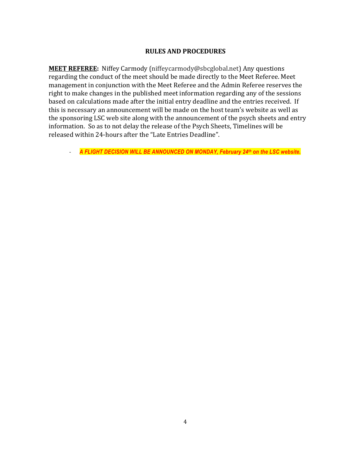#### **RULES AND PROCEDURES**

**MEET REFEREE:** Niffey Carmody (niffeycarmody@sbcglobal.net) Any questions regarding the conduct of the meet should be made directly to the Meet Referee. Meet management in conjunction with the Meet Referee and the Admin Referee reserves the right to make changes in the published meet information regarding any of the sessions based on calculations made after the initial entry deadline and the entries received. If this is necessary an announcement will be made on the host team's website as well as the sponsoring LSC web site along with the announcement of the psych sheets and entry information. So as to not delay the release of the Psych Sheets, Timelines will be released within 24-hours after the "Late Entries Deadline".

- *A FLIGHT DECISION WILL BE ANNOUNCED ON MONDAY, February 24th on the LSC website.*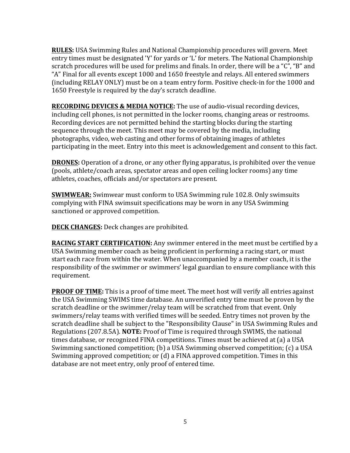**RULES:** USA Swimming Rules and National Championship procedures will govern. Meet entry times must be designated 'Y' for yards or 'L' for meters. The National Championship scratch procedures will be used for prelims and finals. In order, there will be a "C", "B" and "A" Final for all events except 1000 and 1650 freestyle and relays. All entered swimmers (including RELAY ONLY) must be on a team entry form. Positive check-in for the 1000 and 1650 Freestyle is required by the day's scratch deadline.

**RECORDING DEVICES & MEDIA NOTICE:** The use of audio-visual recording devices, including cell phones, is not permitted in the locker rooms, changing areas or restrooms. Recording devices are not permitted behind the starting blocks during the starting sequence through the meet. This meet may be covered by the media, including photographs, video, web casting and other forms of obtaining images of athletes participating in the meet. Entry into this meet is acknowledgement and consent to this fact.

**DRONES:** Operation of a drone, or any other flying apparatus, is prohibited over the venue (pools, athlete/coach areas, spectator areas and open ceiling locker rooms) any time athletes, coaches, officials and/or spectators are present.

**SWIMWEAR:** Swimwear must conform to USA Swimming rule 102.8. Only swimsuits complying with FINA swimsuit specifications may be worn in any USA Swimming sanctioned or approved competition.

**DECK CHANGES:** Deck changes are prohibited.

**RACING START CERTIFICATION:** Any swimmer entered in the meet must be certified by a USA Swimming member coach as being proficient in performing a racing start, or must start each race from within the water. When unaccompanied by a member coach, it is the responsibility of the swimmer or swimmers' legal guardian to ensure compliance with this requirement.

**PROOF OF TIME:** This is a proof of time meet. The meet host will verify all entries against the USA Swimming SWIMS time database. An unverified entry time must be proven by the scratch deadline or the swimmer/relay team will be scratched from that event. Only swimmers/relay teams with verified times will be seeded. Entry times not proven by the scratch deadline shall be subject to the "Responsibility Clause" in USA Swimming Rules and Regulations (207.8.5A). **NOTE:** Proof of Time is required through SWIMS, the national times database, or recognized FINA competitions. Times must be achieved at (a) a USA Swimming sanctioned competition; (b) a USA Swimming observed competition; (c) a USA Swimming approved competition; or (d) a FINA approved competition. Times in this database are not meet entry, only proof of entered time.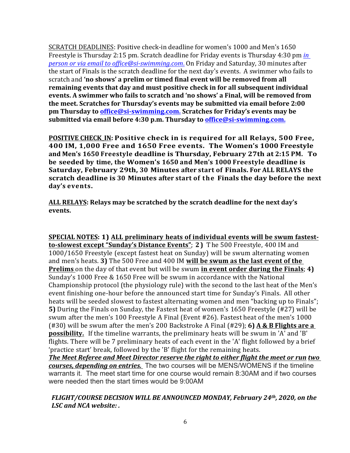SCRATCH DEADLINES: Positive check-in deadline for women's 1000 and Men's 1650 Freestyle is Thursday 2:15 pm. Scratch deadline for Friday events is Thursday 4:30 pm *in person or via email to office@si-swimming.com*. On Friday and Saturday, 30 minutes after the start of Finals is the scratch deadline for the next day's events. A swimmer who fails to scratch and 'no shows' a prelim or timed final event will be removed from all **remaining events that day and must positive check in for all subsequent individual** events. A swimmer who fails to scratch and 'no shows' a Final, will be removed from the meet. Scratches for Thursday's events may be submitted via email before 2:00 **pm Thursday to office@si-swimming.com.** Scratches for Friday's events may be submitted via email before 4:30 p.m. Thursday to **office@si-swimming.com.** 

**POSITIVE CHECK\_IN: Positive check in is required for all Relays, 500 Free, 400 IM, 1,000 Free and 1650 Free events. The Women's 1000 Freestyle and Men's 1650 Freestyle deadline is Thursday, February 27th at 2:15 PM. To be seeded by time, the Women's 1650 and Men's 1000 Freestyle deadline is Saturday, February 29th, 30 Minutes after start of Finals. For ALL RELAYS the scratch deadline is 30 Minutes after start of the Finals the day before the next day's events.**

ALL RELAYS: Relays may be scratched by the scratch deadline for the next day's **events.**

**SPECIAL NOTES: 1) ALL preliminary heats of individual events will be swum fastestto-slowest except "Sunday's Distance Events"; 2)** The 500 Freestyle, 400 IM and 1000/1650 Freestyle (except fastest heat on Sunday) will be swum alternating women and men's heats. **3)** The 500 Free and 400 IM will be swum as the last event of the **Prelims** on the day of that event but will be swum in event order during the Finals; 4) Sunday's 1000 Free & 1650 Free will be swum in accordance with the National Championship protocol (the physiology rule) with the second to the last heat of the Men's event finishing one-hour before the announced start time for Sunday's Finals. All other heats will be seeded slowest to fastest alternating women and men "backing up to Finals"; **5)** During the Finals on Sunday, the Fastest heat of women's 1650 Freestyle (#27) will be swum after the men's 100 Freestyle A Final (Event #26). Fastest heat of the men's 1000 ( $\#30$ ) will be swum after the men's 200 Backstroke A Final ( $\#29$ ); **6) A & B Flights are a possibility.** If the timeline warrants, the preliminary heats will be swum in 'A' and 'B' flights. There will be 7 preliminary heats of each event in the 'A' flight followed by a brief 'practice start' break, followed by the 'B' flight for the remaining heats. The Meet Referee and Meet Director reserve the right to either flight the meet or run two courses, depending on entries. The two courses will be MENS/WOMENS if the timeline warrants it. The meet start time for one course would remain 8:30AM and if two courses

### *FLIGHT/COURSE DECISION WILL BE ANNOUNCED MONDAY, February 24th, 2020, on the* LSC and NCA website: .

were needed then the start times would be 9:00AM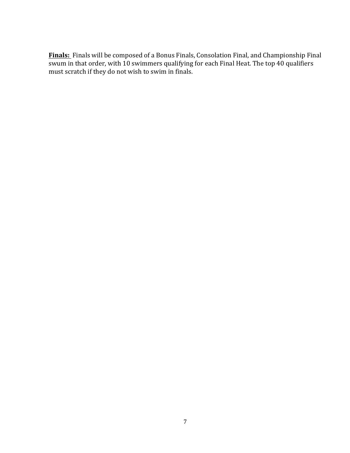Finals: Finals will be composed of a Bonus Finals, Consolation Final, and Championship Final  $\overline{\text{swum}}$  in that order, with 10 swimmers qualifying for each Final Heat. The top 40 qualifiers must scratch if they do not wish to swim in finals.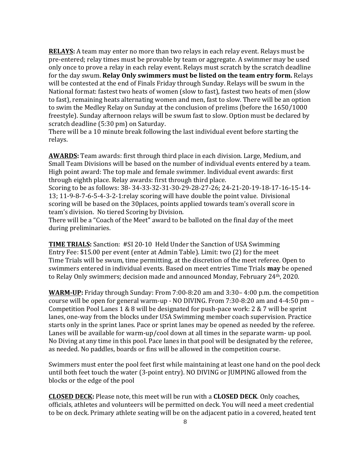**RELAYS:** A team may enter no more than two relays in each relay event. Relays must be pre-entered; relay times must be provable by team or aggregate. A swimmer may be used only once to prove a relay in each relay event. Relays must scratch by the scratch deadline for the day swum. **Relay Only swimmers must be listed on the team entry form.** Relays will be contested at the end of Finals Friday through Sunday. Relays will be swum in the National format: fastest two heats of women (slow to fast), fastest two heats of men (slow to fast), remaining heats alternating women and men, fast to slow. There will be an option to swim the Medley Relay on Sunday at the conclusion of prelims (before the 1650/1000 freestyle). Sunday afternoon relays will be swum fast to slow. Option must be declared by scratch deadline (5:30 pm) on Saturday.

There will be a 10 minute break following the last individual event before starting the relays.

**AWARDS:** Team awards: first through third place in each division. Large, Medium, and Small Team Divisions will be based on the number of individual events entered by a team. High point award: The top male and female swimmer. Individual event awards: first through eighth place. Relay awards: first through third place.

Scoring to be as follows: 38- 34-33-32-31-30-29-28-27-26; 24-21-20-19-18-17-16-15-14- $13$ ;  $11-9-8-7-6-5-4-3-2-1$ :relay scoring will have double the point value. Divisional scoring will be based on the 30places, points applied towards team's overall score in team's division. No tiered Scoring by Division.

There will be a "Coach of the Meet" award to be balloted on the final day of the meet during preliminaries.

**TIME TRIALS:** Sanction: #SI 20-10 Held Under the Sanction of USA Swimming Entry Fee: \$15.00 per event (enter at Admin Table). Limit: two (2) for the meet Time Trials will be swum, time permitting, at the discretion of the meet referee. Open to swimmers entered in individual events. Based on meet entries Time Trials **may** be opened to Relay Only swimmers; decision made and announced Monday, February 24<sup>th</sup>, 2020.

**WARM-UP:** Friday through Sunday: From 7:00-8:20 am and 3:30– 4:00 p.m. the competition course will be open for general warm-up - NO DIVING. From  $7:30-8:20$  am and  $4-4:50$  pm  $-$ Competition Pool Lanes  $1 \& 8$  will be designated for push-pace work:  $2 \& 7$  will be sprint lanes, one-way from the blocks under USA Swimming member coach supervision. Practice starts only in the sprint lanes. Pace or sprint lanes may be opened as needed by the referee. Lanes will be available for warm-up/cool down at all times in the separate warm- up pool. No Diving at any time in this pool. Pace lanes in that pool will be designated by the referee, as needed. No paddles, boards or fins will be allowed in the competition course.

Swimmers must enter the pool feet first while maintaining at least one hand on the pool deck until both feet touch the water (3-point entry). NO DIVING or JUMPING allowed from the blocks or the edge of the pool

**CLOSED DECK:** Please note, this meet will be run with a **CLOSED DECK**. Only coaches, officials, athletes and volunteers will be permitted on deck. You will need a meet credential to be on deck. Primary athlete seating will be on the adjacent patio in a covered, heated tent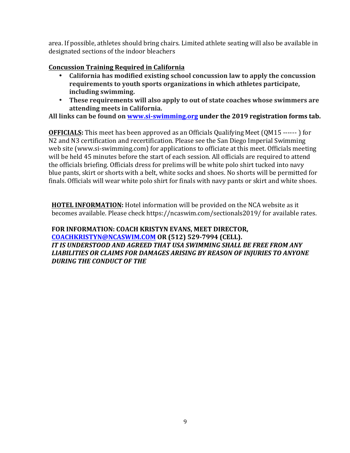area. If possible, athletes should bring chairs. Limited athlete seating will also be available in designated sections of the indoor bleachers

### **Concussion Training Required in California**

- California has modified existing school concussion law to apply the concussion requirements to youth sports organizations in which athletes participate, **including swimming.**
- **These requirements will also apply to out of state coaches whose swimmers are attending meets in California.**

All links can be found on **www.si-swimming.org** under the 2019 registration forms tab.

**OFFICIALS:** This meet has been approved as an Officials Qualifying Meet (QM15 ------) for N2 and N3 certification and recertification. Please see the San Diego Imperial Swimming web site (www.si-swimming.com) for applications to officiate at this meet. Officials meeting will be held 45 minutes before the start of each session. All officials are required to attend the officials briefing. Officials dress for prelims will be white polo shirt tucked into navy blue pants, skirt or shorts with a belt, white socks and shoes. No shorts will be permitted for finals. Officials will wear white polo shirt for finals with navy pants or skirt and white shoes.

**HOTEL INFORMATION:** Hotel information will be provided on the NCA website as it becomes available. Please check https://ncaswim.com/sectionals2019/ for available rates.

### FOR INFORMATION: COACH KRISTYN EVANS, MEET DIRECTOR, **COACHKRISTYN@NCASWIM.COM OR (512) 529-7994 (CELL). IT IS UNDERSTOOD AND AGREED THAT USA SWIMMING SHALL BE FREE FROM ANY** LIABILITIES OR CLAIMS FOR DAMAGES ARISING BY REASON OF INJURIES TO ANYONE **DURING THE CONDUCT OF THE**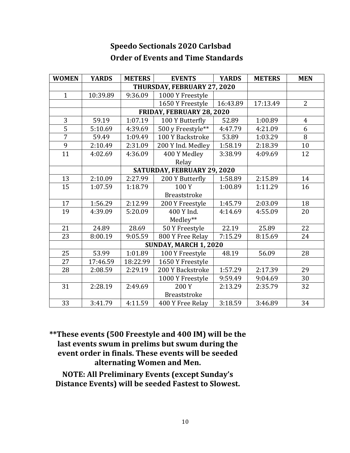| <b>WOMEN</b>                | <b>YARDS</b> | <b>METERS</b> | <b>EVENTS</b>       | <b>YARDS</b> | <b>METERS</b> | <b>MEN</b>     |
|-----------------------------|--------------|---------------|---------------------|--------------|---------------|----------------|
| THURSDAY, FEBRUARY 27, 2020 |              |               |                     |              |               |                |
| $\mathbf{1}$                | 10:39.89     | 9:36.09       | 1000 Y Freestyle    |              |               |                |
|                             |              |               | 1650 Y Freestyle    | 16:43.89     | 17:13.49      | $\overline{2}$ |
| FRIDAY, FEBRUARY 28, 2020   |              |               |                     |              |               |                |
| 3                           | 59.19        | 1:07.19       | 100 Y Butterfly     | 52.89        | 1:00.89       | $\overline{4}$ |
| $\overline{5}$              | 5:10.69      | 4:39.69       | 500 y Freestyle**   | 4:47.79      | 4:21.09       | 6              |
| $\overline{7}$              | 59.49        | 1:09.49       | 100 Y Backstroke    | 53.89        | 1:03.29       | 8              |
| $\overline{9}$              | 2:10.49      | 2:31.09       | 200 Y Ind. Medley   | 1:58.19      | 2:18.39       | 10             |
| 11                          | 4:02.69      | 4:36.09       | 400 Y Medley        | 3:38.99      | 4:09.69       | 12             |
|                             |              |               | Relay               |              |               |                |
| SATURDAY, FEBRUARY 29, 2020 |              |               |                     |              |               |                |
| 13                          | 2:10.09      | 2:27.99       | 200 Y Butterfly     | 1:58.89      | 2:15.89       | 14             |
| 15                          | 1:07.59      | 1:18.79       | 100Y                | 1:00.89      | 1:11.29       | 16             |
|                             |              |               | <b>Breaststroke</b> |              |               |                |
| 17                          | 1:56.29      | 2:12.99       | 200 Y Freestyle     | 1:45.79      | 2:03.09       | 18             |
| 19                          | 4:39.09      | 5:20.09       | 400 Y Ind.          | 4:14.69      | 4:55.09       | 20             |
|                             |              |               | Medley**            |              |               |                |
| 21                          | 24.89        | 28.69         | 50 Y Freestyle      | 22.19        | 25.89         | 22             |
| 23                          | 8:00.19      | 9:05.59       | 800 Y Free Relay    | 7:15.29      | 8:15.69       | 24             |
| SUNDAY, MARCH 1, 2020       |              |               |                     |              |               |                |
| 25                          | 53.99        | 1:01.89       | 100 Y Freestyle     | 48.19        | 56.09         | 28             |
| 27                          | 17:46.59     | 18:22.99      | 1650 Y Freestyle    |              |               |                |
| 28                          | 2:08.59      | 2:29.19       | 200 Y Backstroke    | 1:57.29      | 2:17.39       | 29             |
|                             |              |               | 1000 Y Freestyle    | 9:59.49      | 9:04.69       | 30             |
| 31                          | 2:28.19      | 2:49.69       | 200 Y               | 2:13.29      | 2:35.79       | 32             |
|                             |              |               | <b>Breaststroke</b> |              |               |                |
| 33                          | 3:41.79      | 4:11.59       | 400 Y Free Relay    | 3:18.59      | 3:46.89       | 34             |

# **Speedo Sectionals 2020 Carlsbad Order of Events and Time Standards**

\*\*These events (500 Freestyle and 400 IM) will be the last events swum in prelims but swum during the event order in finals. These events will be seeded alternating Women and Men.

**NOTE: All Preliminary Events (except Sunday's Distance Events) will be seeded Fastest to Slowest.**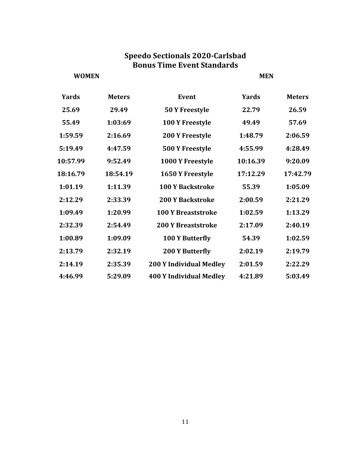## **Speedo Sectionals 2020-Carlsbad Bonus Time Event Standards**

**WOMEN MEN**

| <b>Yards</b> | <b>Meters</b> | <b>Event</b>                   | <b>Yards</b> | <b>Meters</b> |
|--------------|---------------|--------------------------------|--------------|---------------|
| 25.69        | 29.49         | 50 Y Freestyle                 | 22.79        | 26.59         |
| 55.49        | 1:03:69       | 100 Y Freestyle                | 49.49        | 57.69         |
| 1:59.59      | 2:16.69       | <b>200 Y Freestyle</b>         | 1:48.79      | 2:06.59       |
| 5:19.49      | 4:47.59       | 500 Y Freestyle                | 4:55.99      | 4:28.49       |
| 10:57.99     | 9:52.49       | 1000 Y Freestyle               | 10:16.39     | 9:20.09       |
| 18:16.79     | 18:54.19      | 1650 Y Freestyle               | 17:12.29     | 17:42.79      |
| 1:01.19      | 1:11.39       | <b>100 Y Backstroke</b>        | 55.39        | 1:05.09       |
| 2:12.29      | 2:33.39       | <b>200 Y Backstroke</b>        | 2:00.59      | 2:21.29       |
| 1:09.49      | 1:20.99       | <b>100 Y Breaststroke</b>      | 1:02.59      | 1:13.29       |
| 2:32.39      | 2:54.49       | <b>200 Y Breaststroke</b>      | 2:17.09      | 2:40.19       |
| 1:00.89      | 1:09.09       | 100 Y Butterfly                | 54.39        | 1:02.59       |
| 2:13.79      | 2:32.19       | <b>200 Y Butterfly</b>         | 2:02.19      | 2:19.79       |
| 2:14.19      | 2:35.39       | <b>200 Y Individual Medley</b> | 2:01.59      | 2:22.29       |
| 4:46.99      | 5:29.09       | <b>400 Y Individual Medley</b> | 4:21.89      | 5:03.49       |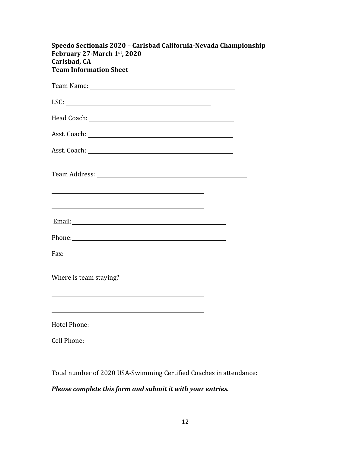| Speedo Sectionals 2020 - Carlsbad California-Nevada Championship<br>February 27-March 1st, 2020<br>Carlsbad, CA<br><b>Team Information Sheet</b>                                                                                                                                              |
|-----------------------------------------------------------------------------------------------------------------------------------------------------------------------------------------------------------------------------------------------------------------------------------------------|
|                                                                                                                                                                                                                                                                                               |
| LSC:                                                                                                                                                                                                                                                                                          |
|                                                                                                                                                                                                                                                                                               |
|                                                                                                                                                                                                                                                                                               |
| Asst. Coach: <u>Carl Communication</u>                                                                                                                                                                                                                                                        |
| Team Address: No. 1996. The Second Second Second Second Second Second Second Second Second Second Second Second Second Second Second Second Second Second Second Second Second Second Second Second Second Second Second Secon<br><u> 1989 - Johann Stoff, amerikansk politiker (d. 1989)</u> |
| <u> 1989 - Johann Stoff, amerikansk politiker (d. 1989)</u>                                                                                                                                                                                                                                   |
| Phone: Phone and Phone and Phone and Phone and Phone and Phone and Phone and Phone and Phone and Phone and Phone and Phone and Phone and Phone and Phone and Phone and Phone and Phone and Phone and Phone and Phone and Phone                                                                |
|                                                                                                                                                                                                                                                                                               |
| Where is team staying?                                                                                                                                                                                                                                                                        |
|                                                                                                                                                                                                                                                                                               |
| Cell Phone:<br><u> 1989 - Johann Barn, mars ar breist fan de Amerikaanske kommunent fan de Amerikaanske kommunent fan de Amerika</u>                                                                                                                                                          |

Total number of 2020 USA-Swimming Certified Coaches in attendance: \_\_\_\_\_\_\_\_

### *Please complete this form and submit it with your entries.*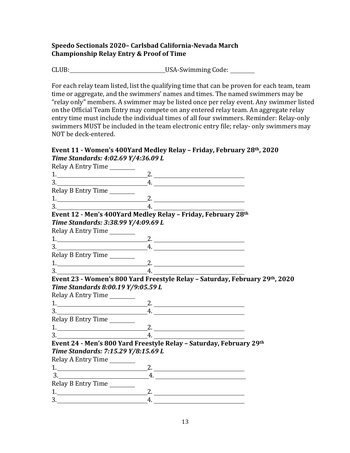### **Speedo Sectionals 2020– Carlsbad California-Nevada March Championship Relay Entry & Proof of Time**

CLUB: USA-Swimming Code: 

For each relay team listed, list the qualifying time that can be proven for each team, team time or aggregate, and the swimmers' names and times. The named swimmers may be "relay only" members. A swimmer may be listed once per relay event. Any swimmer listed on the Official Team Entry may compete on any entered relay team. An aggregate relay entry time must include the individual times of all four swimmers. Reminder: Relay-only swimmers MUST be included in the team electronic entry file; relay- only swimmers may NOT be deck-entered.

#### Event 11 - Women's 400Yard Medley Relay - Friday, February 28<sup>th</sup>, 2020 *Time Standards: 4:02.69 Y/4:36.09 L*

| Relay A Entry Time                                                                                    |                                                                             |
|-------------------------------------------------------------------------------------------------------|-----------------------------------------------------------------------------|
| $1.$ 2.                                                                                               |                                                                             |
| $\overline{\phantom{a}}$ 3.                                                                           | $\overline{A}$ .                                                            |
| Relay B Entry Time                                                                                    |                                                                             |
| $1.$ 2.                                                                                               |                                                                             |
| $\begin{array}{c c c c c} \hline \text{3.} & \text{5.} & \text{6.} & \text{6.} \\ \hline \end{array}$ |                                                                             |
| Event 12 - Men's 400Yard Medley Relay - Friday, February 28th                                         |                                                                             |
| Time Standards: 3:38.99 Y/4:09.69 L                                                                   |                                                                             |
| Relay A Entry Time                                                                                    |                                                                             |
| $1.$ 2.                                                                                               |                                                                             |
| $\frac{3}{2}$                                                                                         | $-4.$                                                                       |
| Relay B Entry Time                                                                                    |                                                                             |
| $1.$ 2.                                                                                               |                                                                             |
| $3.$ 4.                                                                                               |                                                                             |
|                                                                                                       | Event 23 - Women's 800 Yard Freestyle Relay - Saturday, February 29th, 2020 |
| Time Standards 8:00.19 Y/9:05.59 L                                                                    |                                                                             |
| Relay A Entry Time                                                                                    |                                                                             |
|                                                                                                       |                                                                             |
| $\begin{array}{c}\n3.\n\end{array}$                                                                   | $\overline{A}$ .                                                            |
| Relay B Entry Time                                                                                    |                                                                             |
| $1.$ 2. $2.$                                                                                          |                                                                             |
| $\begin{array}{c} 3. \end{array}$                                                                     | 4. $\overline{\phantom{a}}$                                                 |
|                                                                                                       | Event 24 - Men's 800 Yard Freestyle Relay - Saturday, February 29th         |
| Time Standards: 7:15.29 Y/8:15.69 L                                                                   |                                                                             |
| Relay A Entry Time                                                                                    |                                                                             |
|                                                                                                       | 2.                                                                          |
| $\begin{array}{c}\n3.\n\end{array}$                                                                   | $-4.$                                                                       |
| Relay B Entry Time                                                                                    |                                                                             |
| $1.$ 2.                                                                                               |                                                                             |
|                                                                                                       | $\overline{A}$ .                                                            |
|                                                                                                       |                                                                             |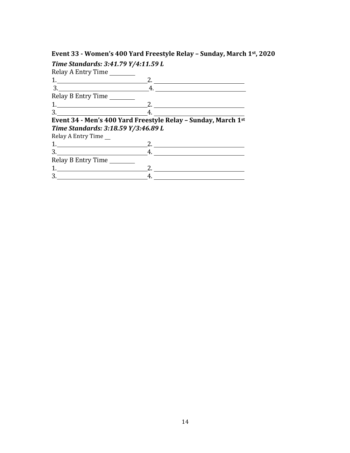# **Event 33 - Women's 400 Yard Freestyle Relay - Sunday, March 1st, 2020**

| Time Standards: 3:41.79 Y/4:11.59 L |                                                               |
|-------------------------------------|---------------------------------------------------------------|
| Relay A Entry Time                  |                                                               |
| 1.                                  |                                                               |
| $\overline{\mathbf{3.}}$            | 4.                                                            |
| Relay B Entry Time                  |                                                               |
|                                     | 2.                                                            |
| 3.                                  |                                                               |
|                                     | Event 34 - Men's 400 Yard Freestyle Relay - Sunday, March 1st |
| Time Standards: 3:18.59 Y/3:46.89 L |                                                               |
| Relay A Entry Time                  |                                                               |
|                                     |                                                               |
| $\begin{array}{c} 3. \end{array}$   |                                                               |
| Relay B Entry Time                  |                                                               |
|                                     |                                                               |
|                                     |                                                               |
| 1.                                  |                                                               |